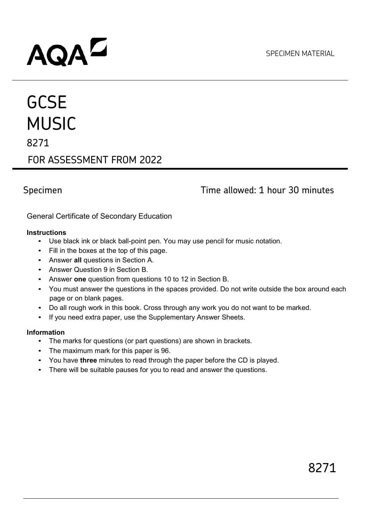# **AQA<sup>D</sup>**

## **GCSE** MUSIC 8271 FOR ASSESSMENT FROM 2022

### Specimen **Time allowed: 1 hour 30 minutes**

General Certificate of Secondary Education

#### **Instructions**

- Use black ink or black ball-point pen. You may use pencil for music notation.
- Fill in the boxes at the top of this page.
- Answer **all** questions in Section A.
- Answer Question 9 in Section B.
- Answer **one** question from questions 10 to 12 in Section B.
- You must answer the questions in the spaces provided. Do not write outside the box around each page or on blank pages.
- Do all rough work in this book. Cross through any work you do not want to be marked.
- If you need extra paper, use the Supplementary Answer Sheets.

#### **Information**

- The marks for questions (or part questions) are shown in brackets.
- The maximum mark for this paper is 96.
- You have **three** minutes to read through the paper before the CD is played.
- There will be suitable pauses for you to read and answer the questions.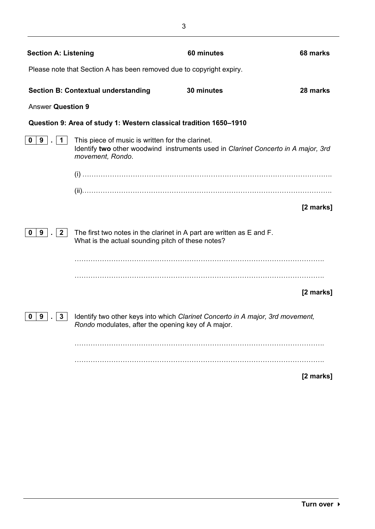| <b>Section A: Listening</b>                                          |                                                                                                                            | 60 minutes                                                                        | 68 marks  |  |
|----------------------------------------------------------------------|----------------------------------------------------------------------------------------------------------------------------|-----------------------------------------------------------------------------------|-----------|--|
| Please note that Section A has been removed due to copyright expiry. |                                                                                                                            |                                                                                   |           |  |
|                                                                      | <b>Section B: Contextual understanding</b>                                                                                 | 30 minutes                                                                        | 28 marks  |  |
| <b>Answer Question 9</b>                                             |                                                                                                                            |                                                                                   |           |  |
|                                                                      | Question 9: Area of study 1: Western classical tradition 1650-1910                                                         |                                                                                   |           |  |
| 9<br>0<br>$\mathbf 1$                                                | This piece of music is written for the clarinet.<br>movement, Rondo.                                                       | Identify two other woodwind instruments used in Clarinet Concerto in A major, 3rd |           |  |
|                                                                      |                                                                                                                            |                                                                                   |           |  |
|                                                                      |                                                                                                                            |                                                                                   |           |  |
|                                                                      |                                                                                                                            |                                                                                   | [2 marks] |  |
| $\mathbf{2}$<br>9<br>0                                               | The first two notes in the clarinet in A part are written as E and F.<br>What is the actual sounding pitch of these notes? |                                                                                   |           |  |
|                                                                      |                                                                                                                            |                                                                                   | [2 marks] |  |
| 9<br>3<br>0                                                          | Rondo modulates, after the opening key of A major.                                                                         | Identify two other keys into which Clarinet Concerto in A major, 3rd movement,    |           |  |
|                                                                      |                                                                                                                            |                                                                                   |           |  |
|                                                                      |                                                                                                                            |                                                                                   | [2 marks] |  |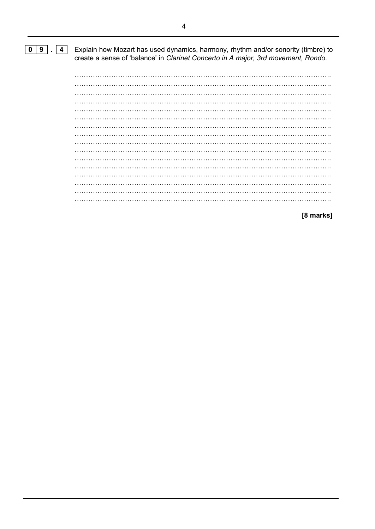#### $\boxed{0}$   $\boxed{9}$   $\boxed{4}$

Explain how Mozart has used dynamics, harmony, rhythm and/or sonority (timbre) to create a sense of 'balance' in Clarinet Concerto in A major, 3rd movement, Rondo.

 $\ldots$ 

[8 marks]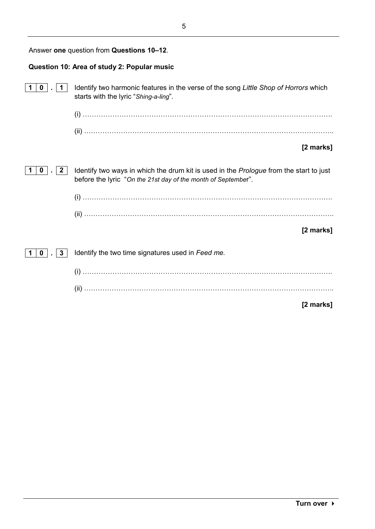| Answer one question from Questions 10-12.   |                                                                                                                                                         |  |
|---------------------------------------------|---------------------------------------------------------------------------------------------------------------------------------------------------------|--|
| Question 10: Area of study 2: Popular music |                                                                                                                                                         |  |
| 0<br>1.                                     | Identify two harmonic features in the verse of the song Little Shop of Horrors which<br>starts with the lyric "Shing-a-ling".                           |  |
|                                             |                                                                                                                                                         |  |
|                                             |                                                                                                                                                         |  |
|                                             | [2 marks]                                                                                                                                               |  |
| $\mathbf{2}$<br>0                           | Identify two ways in which the drum kit is used in the Prologue from the start to just<br>before the lyric "On the 21st day of the month of September". |  |
|                                             |                                                                                                                                                         |  |
|                                             |                                                                                                                                                         |  |
|                                             | [2 marks]                                                                                                                                               |  |
| 3<br>0                                      | Identify the two time signatures used in Feed me.                                                                                                       |  |
|                                             |                                                                                                                                                         |  |
|                                             |                                                                                                                                                         |  |
|                                             | [2 marks]                                                                                                                                               |  |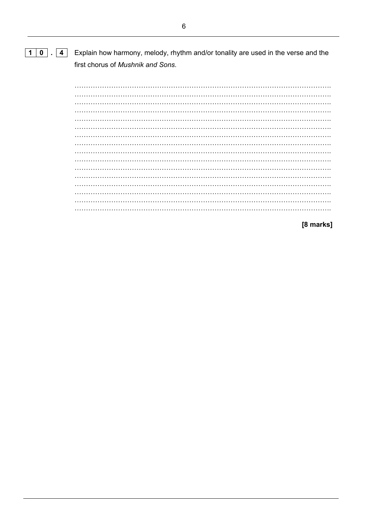#### $1|0|$ . 4 Explain how harmony, melody, rhythm and/or tonality are used in the verse and the first chorus of Mushnik and Sons.

 $\overline{a}$  $\cdots$ 

[8 marks]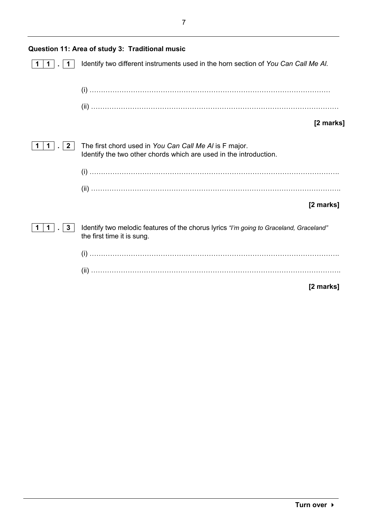| Question 11: Area of study 3: Traditional music |                                                                                                                             |  |
|-------------------------------------------------|-----------------------------------------------------------------------------------------------------------------------------|--|
|                                                 | Identify two different instruments used in the horn section of You Can Call Me Al.                                          |  |
|                                                 |                                                                                                                             |  |
|                                                 |                                                                                                                             |  |
|                                                 | [2 marks]                                                                                                                   |  |
| $\mathbf{2}$                                    | The first chord used in You Can Call Me AI is F major.<br>Identify the two other chords which are used in the introduction. |  |
|                                                 |                                                                                                                             |  |
|                                                 |                                                                                                                             |  |
|                                                 | [2 marks]                                                                                                                   |  |
| 3<br>1.                                         | Identify two melodic features of the chorus lyrics "I'm going to Graceland, Graceland"<br>the first time it is sung.        |  |
|                                                 |                                                                                                                             |  |
|                                                 |                                                                                                                             |  |
|                                                 | [2 marks]                                                                                                                   |  |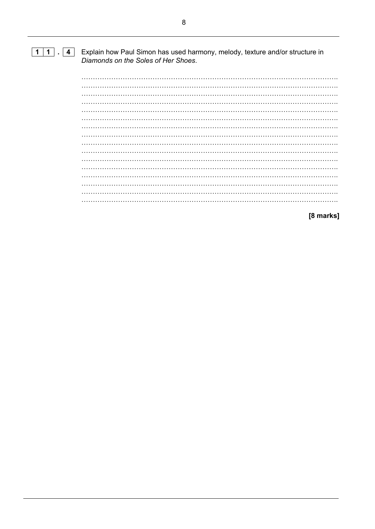#### $\boxed{1\ 1}$ .  $\boxed{4}$ Explain how Paul Simon has used harmony, melody, texture and/or structure in Diamonds on the Soles of Her Shoes.

[8 marks]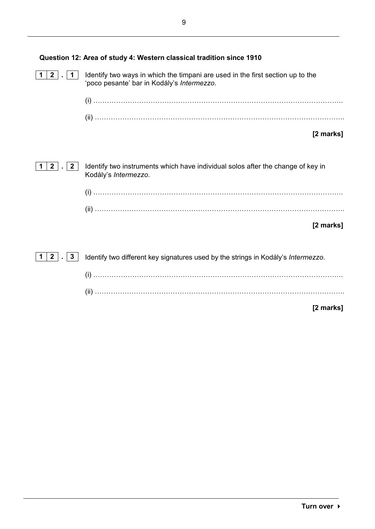| Question 12: Area of study 4: Western classical tradition since 1910 |                                                                                                                              |  |
|----------------------------------------------------------------------|------------------------------------------------------------------------------------------------------------------------------|--|
| $\mathbf{2}$                                                         | Identify two ways in which the timpani are used in the first section up to the<br>'poco pesante' bar in Kodály's Intermezzo. |  |
|                                                                      |                                                                                                                              |  |
|                                                                      |                                                                                                                              |  |
|                                                                      | [2 marks]                                                                                                                    |  |
|                                                                      |                                                                                                                              |  |
| $\mathbf{2}$<br>2 <sup>1</sup>                                       | Identify two instruments which have individual solos after the change of key in<br>Kodály's Intermezzo.                      |  |
|                                                                      |                                                                                                                              |  |
|                                                                      |                                                                                                                              |  |
|                                                                      | [2 marks]                                                                                                                    |  |
|                                                                      |                                                                                                                              |  |
| $\mathbf{2}$<br>3                                                    | Identify two different key signatures used by the strings in Kodály's Intermezzo.                                            |  |
|                                                                      |                                                                                                                              |  |
|                                                                      |                                                                                                                              |  |

**[2 marks]**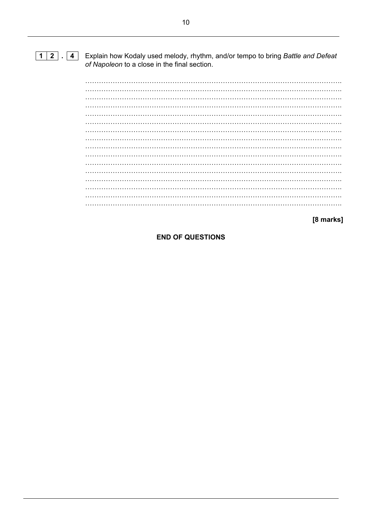#### $\boxed{1}$   $\boxed{2}$   $\boxed{4}$ Explain how Kodaly used melody, rhythm, and/or tempo to bring Battle and Defeat of Napoleon to a close in the final section.

 $\ddots$  $\sim 10^{-1}$ . . . . 

[8 marks]

**END OF QUESTIONS**